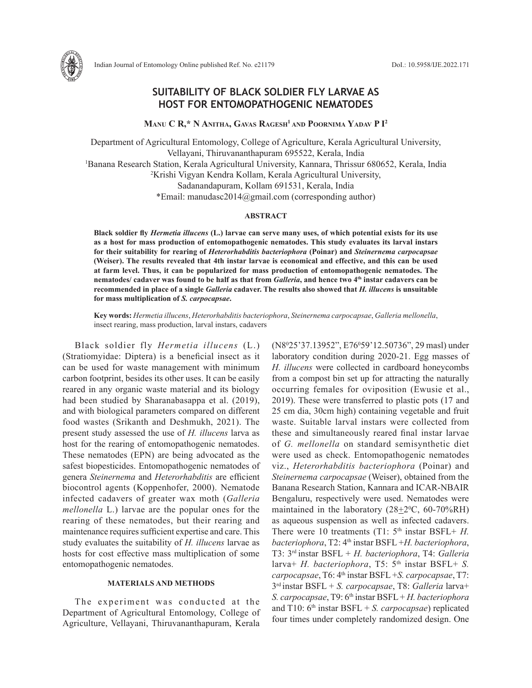# **SUITABILITY OF BLACK SOLDIER FLY LARVAE AS HOST FOR ENTOMOPATHOGENIC NEMATODES**

MANU C R<sup>\*</sup> N **Anitha, Gavas Ragesh<sup>1</sup> and Poornima Yadav P I<sup>2</sup>** 

Department of Agricultural Entomology, College of Agriculture, Kerala Agricultural University, Vellayani, Thiruvananthapuram 695522, Kerala, India <sup>1</sup>Banana Research Station, Kerala Agricultural University, Kannara, Thrissur 680652, Kerala, India <sup>2</sup>Krishi Vigyan Kendra Kollam, Kerala Agricultural University <sup>2</sup>Krishi Vigyan Kendra Kollam, Kerala Agricultural University, Sadanandapuram, Kollam 691531, Kerala, India \*Email: manudasc2014@gmail.com (corresponding author)

## **ABSTRACT**

**Black soldier fly** *Hermetia illucens* **(L.) larvae can serve many uses, of which potential exists for its use as a host for mass production of entomopathogenic nematodes. This study evaluates its larval instars for their suitability for rearing of** *Heterorhabditis bacteriophora* **(Poinar) and** *Steinernema carpocapsae* **(Weiser). The results revealed that 4th instar larvae is economical and effective, and this can be used at farm level. Thus, it can be popularized for mass production of entomopathogenic nematodes. The nematodes/ cadaver was found to be half as that from** *Galleria***, and hence two 4th instar cadavers can be recommended in place of a single** *Galleria* **cadaver. The results also showed that** *H. illucens* **is unsuitable for mass multiplication of** *S. carpocapsae***.**

**Key words:** *Hermetia illucens*, *Heterorhabditis bacteriophora*, *Steinernema carpocapsae*, *Galleria mellonella*, insect rearing, mass production, larval instars, cadavers

Black soldier fly *Hermetia illucens* (L.) (Stratiomyidae: Diptera) is a beneficial insect as it can be used for waste management with minimum carbon footprint, besides its other uses. It can be easily reared in any organic waste material and its biology had been studied by Sharanabasappa et al. (2019), and with biological parameters compared on different food wastes (Srikanth and Deshmukh, 2021). The present study assessed the use of *H. illucens* larva as host for the rearing of entomopathogenic nematodes. These nematodes (EPN) are being advocated as the safest biopesticides. Entomopathogenic nematodes of genera *Steinernema* and *Heterorhabditis* are efficient biocontrol agents (Koppenhofer, 2000). Nematode infected cadavers of greater wax moth (*Galleria mellonella* L.) larvae are the popular ones for the rearing of these nematodes, but their rearing and maintenance requires sufficient expertise and care. This study evaluates the suitability of *H. illucens* larvae as hosts for cost effective mass multiplication of some entomopathogenic nematodes.

## **MATERIALS AND METHODS**

The experiment was conducted at the Department of Agricultural Entomology, College of Agriculture, Vellayani, Thiruvananthapuram, Kerala

(N8<sup>0</sup>25'37.13952", E76<sup>0</sup>59'12.50736", 29 masl) under laboratory condition during 2020-21. Egg masses of *H. illucens* were collected in cardboard honeycombs from a compost bin set up for attracting the naturally occurring females for oviposition (Ewusie et al., 2019). These were transferred to plastic pots (17 and 25 cm dia, 30cm high) containing vegetable and fruit waste. Suitable larval instars were collected from these and simultaneously reared final instar larvae of *G. mellonella* on standard semisynthetic diet were used as check. Entomopathogenic nematodes viz., *Heterorhabditis bacteriophora* (Poinar) and *Steinernema carpocapsae* (Weiser), obtained from the Banana Research Station, Kannara and ICAR-NBAIR Bengaluru, respectively were used. Nematodes were maintained in the laboratory  $(28\pm2\degree C, 60\text{-}70\%RH)$ as aqueous suspension as well as infected cadavers. There were 10 treatments (T1:  $5<sup>th</sup>$  instar BSFL+ *H*. *bacteriophora*, T2: 4th instar BSFL +*H. bacteriophora*, T3: 3rd instar BSFL + *H. bacteriophora*, T4: *Galleria* larva+ *H. bacteriophora*, T5: 5<sup>th</sup> instar BSFL+ *S. carpocapsae*, T6: 4th instar BSFL +*S. carpocapsae*, T7: 3rd instar BSFL + *S. carpocapsae*, T8: *Galleria* larva+ *S. carpocapsae*, T9: 6th instar BSFL + *H. bacteriophora* and T10: 6th instar BSFL + *S. carpocapsae*) replicated four times under completely randomized design. One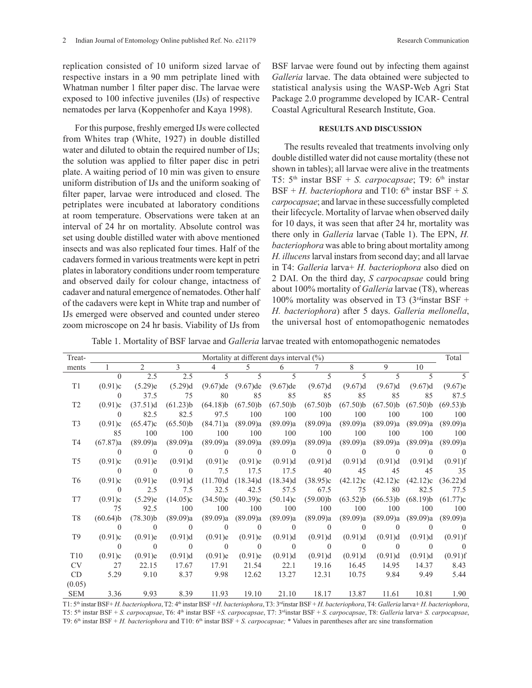replication consisted of 10 uniform sized larvae of respective instars in a 90 mm petriplate lined with Whatman number 1 filter paper disc. The larvae were exposed to 100 infective juveniles (IJs) of respective nematodes per larva (Koppenhofer and Kaya 1998).

For this purpose, freshly emerged IJs were collected from Whites trap (White, 1927) in double distilled water and diluted to obtain the required number of IJs; the solution was applied to filter paper disc in petri plate. A waiting period of 10 min was given to ensure uniform distribution of IJs and the uniform soaking of filter paper, larvae were introduced and closed. The petriplates were incubated at laboratory conditions at room temperature. Observations were taken at an interval of 24 hr on mortality. Absolute control was set using double distilled water with above mentioned insects and was also replicated four times. Half of the cadavers formed in various treatments were kept in petri plates in laboratory conditions under room temperature and observed daily for colour change, intactness of cadaver and natural emergence of nematodes. Other half of the cadavers were kept in White trap and number of IJs emerged were observed and counted under stereo zoom microscope on 24 hr basis. Viability of IJs from

BSF larvae were found out by infecting them against *Galleria* larvae. The data obtained were subjected to statistical analysis using the WASP-Web Agri Stat Package 2.0 programme developed by ICAR- Central

### **RESULTS AND DISCUSSION**

Coastal Agricultural Research Institute, Goa.

The results revealed that treatments involving only double distilled water did not cause mortality (these not shown in tables); all larvae were alive in the treatments T5: 5th instar BSF + *S. carpocapsae*; T9: 6th instar BSF + *H. bacteriophora* and T10:  $6<sup>th</sup>$  instar BSF + *S*. *carpocapsae*; and larvae in these successfully completed their lifecycle. Mortality of larvae when observed daily for 10 days, it was seen that after 24 hr, mortality was there only in *Galleria* larvae (Table 1). The EPN, *H. bacteriophora* was able to bring about mortality among *H. illucens* larval instars from second day; and all larvae in T4: *Galleria* larva+ *H. bacteriophora* also died on 2 DAI. On the third day, *S carpocapsae* could bring about 100% mortality of *Galleria* larvae (T8), whereas 100% mortality was observed in T3 ( $3<sup>rd</sup>$ instar BSF + *H. bacteriophora*) after 5 days. *Galleria mellonella*, the universal host of entomopathogenic nematodes

Table 1. Mortality of BSF larvae and *Galleria* larvae treated with entomopathogenic nematodes

| Treat-          | Mortality at different days interval (%) |                |              |                |             |             |             |             |             |             | Total       |
|-----------------|------------------------------------------|----------------|--------------|----------------|-------------|-------------|-------------|-------------|-------------|-------------|-------------|
| ments           | 1                                        | $\mathfrak{D}$ | $\mathbf{3}$ | $\overline{4}$ | 5           | 6           |             | 8           | 9           | 10          |             |
|                 | $\Omega$                                 | 2.5            | 2.5          | 5              | 5           | 5           | 5           | 5           | 5           | 5           |             |
| T1              | (0.91)c                                  | (5.29)e        | (5.29)d      | $(9.67)$ de    | $(9.67)$ de | $(9.67)$ de | (9.67)d     | (9.67)d     | (9.67)d     | (9.67)d     | $(9.67)$ e  |
|                 | $\theta$                                 | 37.5           | 75           | 80             | 85          | 85          | 85          | 85          | 85          | 85          | 87.5        |
| T <sub>2</sub>  | (0.91)c                                  | $(37.51)$ d    | $(61.23)$ b  | $(64.18)$ b    | (67.50)     | (67.50)     | (67.50)     | (67.50)     | $(67.50)$ b | (67.50)     | $(69.53)$ b |
|                 | $\Omega$                                 | 82.5           | 82.5         | 97.5           | 100         | 100         | 100         | 100         | 100         | 100         | 100         |
| T <sub>3</sub>  | (0.91)c                                  | (65.47)c       | (65.50)      | (84.71)a       | (89.09)a    | (89.09)a    | (89.09)a    | (89.09)a    | (89.09)a    | (89.09)a    | (89.09)a    |
|                 | 85                                       | 100            | 100          | 100            | 100         | 100         | 100         | 100         | 100         | 100         | 100         |
| T <sub>4</sub>  | (67.87)a                                 | (89.09)a       | (89.09)a     | (89.09)a       | (89.09)a    | (89.09)a    | (89.09)a    | (89.09)a    | (89.09)a    | (89.09)a    | (89.09)a    |
|                 | $\Omega$                                 | $\theta$       | $\Omega$     | $\theta$       | $\theta$    | $\theta$    | $\theta$    | $\theta$    | $\Omega$    | $\Omega$    | $\Omega$    |
| T <sub>5</sub>  | (0.91)c                                  | $(0.91)$ e     | $(0.91)$ d   | $(0.91)$ e     | $(0.91)$ e  | $(0.91)$ d  | $(0.91)$ d  | $(0.91)$ d  | $(0.91)$ d  | $(0.91)$ d  | $(0.91)$ f  |
|                 | $\theta$                                 | $\theta$       | $\theta$     | 7.5            | 17.5        | 17.5        | 40          | 45          | 45          | 45          | 35          |
| T <sub>6</sub>  | (0.91)c                                  | $(0.91)$ e     | $(0.91)$ d   | (11.70)d       | $(18.34)$ d | (18.34)d    | (38.95)c    | (42.12)c    | (42.12)c    | (42.12)c    | (36.22)d    |
|                 | $\Omega$                                 | 2.5            | 7.5          | 32.5           | 42.5        | 57.5        | 67.5        | 75          | 80          | 82.5        | 77.5        |
| T7              | (0.91)c                                  | (5.29)e        | (14.05)c     | (34.50)c       | (40.39)c    | (50.14)c    | $(59.00)$ b | $(63.52)$ b | $(66.53)$ b | $(68.19)$ b | (61.77)c    |
|                 | 75                                       | 92.5           | 100          | 100            | 100         | 100         | 100         | 100         | 100         | 100         | 100         |
| T <sub>8</sub>  | (60.64)                                  | $(78.30)$ b    | (89.09)a     | (89.09)a       | (89.09)a    | (89.09)a    | (89.09)a    | (89.09)a    | (89.09)a    | (89.09)a    | (89.09)a    |
|                 | $\Omega$                                 | $\theta$       | $\Omega$     | $\theta$       | $\theta$    | $\theta$    | $\theta$    | $\theta$    | $\Omega$    | $\Omega$    |             |
| T <sub>9</sub>  | (0.91)c                                  | $(0.91)$ e     | $(0.91)$ d   | $(0.91)$ e     | $(0.91)$ e  | $(0.91)$ d  | (0.91)d     | $(0.91)$ d  | $(0.91)$ d  | $(0.91)$ d  | $(0.91)$ f  |
|                 | $\Omega$                                 | $\Omega$       | $\Omega$     | $\Omega$       | $\theta$    | $\Omega$    | $\Omega$    | $\Omega$    | $\Omega$    | $\Omega$    | $\Omega$    |
| T <sub>10</sub> | (0.91)c                                  | $(0.91)$ e     | $(0.91)$ d   | $(0.91)$ e     | $(0.91)$ e  | $(0.91)$ d  | $(0.91)$ d  | $(0.91)$ d  | $(0.91)$ d  | $(0.91)$ d  | $(0.91)$ f  |
| <b>CV</b>       | 27                                       | 22.15          | 17.67        | 17.91          | 21.54       | 22.1        | 19.16       | 16.45       | 14.95       | 14.37       | 8.43        |
| CD.             | 5.29                                     | 9.10           | 8.37         | 9.98           | 12.62       | 13.27       | 12.31       | 10.75       | 9.84        | 9.49        | 5.44        |
| (0.05)          |                                          |                |              |                |             |             |             |             |             |             |             |
| <b>SEM</b>      | 3.36                                     | 9.93           | 8.39         | 11.93          | 19.10       | 21.10       | 18.17       | 13.87       | 11.61       | 10.81       | 1.90        |

T1: 5th instar BSF+ *H. bacteriophora*, T2: 4th instar BSF +*H. bacteriophora*, T3: 3rdinstar BSF + *H. bacteriophora*, T4: *Galleria* larva+ *H. bacteriophora*, T5: 5th instar BSF + *S. carpocapsae*, T6: 4th instar BSF +*S. carpocapsae*, T7: 3rdinstar BSF + *S. carpocapsae*, T8: *Galleria* larva+ *S. carpocapsae*, T9: 6<sup>th</sup> instar BSF + *H. bacteriophora* and T10: 6<sup>th</sup> instar BSF + *S. carpocapsae;* \* Values in parentheses after arc sine transformation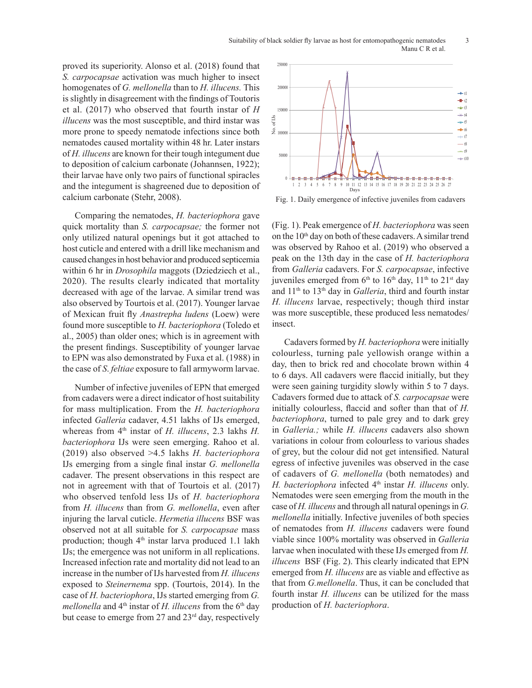proved its superiority. Alonso et al. (2018) found that *S. carpocapsae* activation was much higher to insect homogenates of *G. mellonella* than to *H. illucens.* This is slightly in disagreement with the findings of Toutoris et al. (2017) who observed that fourth instar of *H illucens* was the most susceptible, and third instar was more prone to speedy nematode infections since both nematodes caused mortality within 48 hr. Later instars of *H. illucens* are known for their tough integument due to deposition of calcium carbonate (Johannsen, 1922); their larvae have only two pairs of functional spiracles and the integument is shagreened due to deposition of calcium carbonate (Stehr, 2008).

Comparing the nematodes, *H. bacteriophora* gave quick mortality than *S. carpocapsae;* the former not only utilized natural openings but it got attached to host cuticle and entered with a drill like mechanism and caused changes in host behavior and produced septicemia within 6 hr in *Drosophila* maggots (Dziedziech et al., 2020). The results clearly indicated that mortality decreased with age of the larvae. A similar trend was also observed by Tourtois et al. (2017). Younger larvae of Mexican fruit fly *Anastrepha ludens* (Loew) were found more susceptible to *H. bacteriophora* (Toledo et al., 2005) than older ones; which is in agreement with the present findings. Susceptibility of younger larvae to EPN was also demonstrated by Fuxa et al. (1988) in the case of *S*. *feltiae* exposure to fall armyworm larvae.

Number of infective juveniles of EPN that emerged from cadavers were a direct indicator of host suitability for mass multiplication. From the *H. bacteriophora* infected *Galleria* cadaver, 4.51 lakhs of IJs emerged, whereas from 4<sup>th</sup> instar of *H. illucens*, 2.3 lakhs *H. bacteriophora* IJs were seen emerging. Rahoo et al. (2019) also observed >4.5 lakhs *H. bacteriophora* IJs emerging from a single final instar *G. mellonella* cadaver. The present observations in this respect are not in agreement with that of Tourtois et al. (2017) who observed tenfold less IJs of *H. bacteriophora* from *H. illucens* than from *G. mellonella*, even after injuring the larval cuticle. *Hermetia illucens* BSF was observed not at all suitable for *S. carpocapsae* mass production; though  $4<sup>th</sup>$  instar larva produced 1.1 lakh IJs; the emergence was not uniform in all replications. Increased infection rate and mortality did not lead to an increase in the number of IJs harvested from *H. illucens* exposed to *Steinernema* spp. (Tourtois, 2014). In the case of *H. bacteriophora*, IJs started emerging from *G. mellonella* and 4<sup>th</sup> instar of *H. illucens* from the 6<sup>th</sup> day but cease to emerge from 27 and  $23<sup>rd</sup>$  day, respectively



Fig. 1. Daily emergence of infective juveniles from cadavers

(Fig. 1). Peak emergence of *H. bacteriophora* was seen on the  $10<sup>th</sup>$  day on both of these cadavers. A similar trend was observed by Rahoo et al. (2019) who observed a peak on the 13th day in the case of *H. bacteriophora* from *Galleria* cadavers. For *S. carpocapsae*, infective juveniles emerged from  $6<sup>th</sup>$  to  $16<sup>th</sup>$  day,  $11<sup>th</sup>$  to  $21<sup>st</sup>$  day and 11th to 13th day in *Galleria*, third and fourth instar *H. illucens* larvae, respectively; though third instar was more susceptible, these produced less nematodes/ insect.

Cadavers formed by *H. bacteriophora* were initially colourless, turning pale yellowish orange within a day, then to brick red and chocolate brown within 4 to 6 days. All cadavers were flaccid initially, but they were seen gaining turgidity slowly within 5 to 7 days. Cadavers formed due to attack of *S. carpocapsae* were initially colourless, flaccid and softer than that of *H. bacteriophora*, turned to pale grey and to dark grey in *Galleria.;* while *H. illucens* cadavers also shown variations in colour from colourless to various shades of grey, but the colour did not get intensified. Natural egress of infective juveniles was observed in the case of cadavers of *G. mellonella* (both nematodes) and *H. bacteriophora* infected 4th instar *H. illucens* only. Nematodes were seen emerging from the mouth in the case of *H. illucens* and through all natural openings in *G. mellonella* initially. Infective juveniles of both species of nematodes from *H. illucens* cadavers were found viable since 100% mortality was observed in *Galleria* larvae when inoculated with these IJs emerged from *H. illucens* BSF (Fig. 2). This clearly indicated that EPN emerged from *H. illucens* are as viable and effective as that from *G.mellonella*. Thus, it can be concluded that fourth instar *H. illucens* can be utilized for the mass production of *H. bacteriophora*.